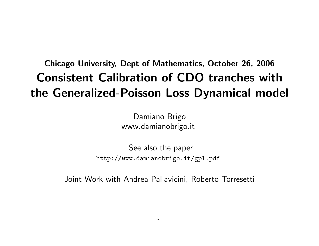# Chicago University, Dept of Mathematics, October 26, 2006 Consistent Calibration of CDO tranches with the Generalized-Poisson Loss Dynamical model

Damiano Brigo www.damianobrigo.it

See also the paper http://www.damianobrigo.it/gpl.pdf

Joint Work with Andrea Pallavicini, Roberto Torresetti

-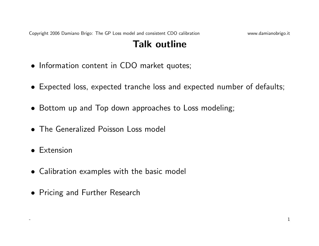# Talk outline

- Information content in CDO market quotes;
- Expected loss, expected tranche loss and expected number of defaults;
- Bottom up and Top down approaches to Loss modeling;
- The Generalized Poisson Loss model
- Extension
- Calibration examples with the basic model
- Pricing and Further Research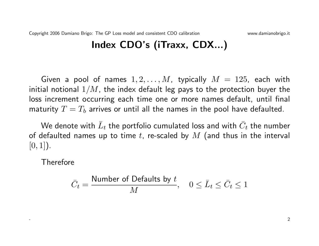# Index CDO's (iTraxx, CDX...)

Given a pool of names  $1, 2, \ldots, M$ , typically  $M = 125$ , each with initial notional  $1/M$ , the index default leg pays to the protection buyer the loss increment occurring each time one or more names default, until final maturity  $T = T_b$  arrives or until all the names in the pool have defaulted.

We denote with  $\bar{L}_t$  the portfolio cumulated loss and with  $\bar{C}_t$  the number of defaulted names up to time t, re-scaled by  $M$  (and thus in the interval  $[0, 1]$ ).

Therefore

$$
\bar{C}_t = \frac{\text{Number of Defaults by } t}{M}, \quad 0 \le \bar{L}_t \le \bar{C}_t \le 1
$$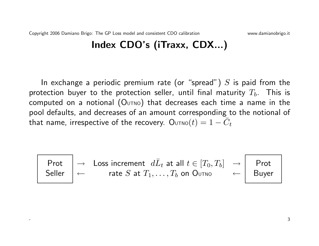# Index CDO's (iTraxx, CDX...)

In exchange a periodic premium rate (or "spread")  $S$  is paid from the protection buyer to the protection seller, until final maturity  $T_b$ . This is computed on a notional  $(O<sub>UTNO</sub>)$  that decreases each time a name in the pool defaults, and decreases of an amount corresponding to the notional of that name, irrespective of the recovery.  $\mathsf{O}_\text{UTNO}(t) = 1-\bar{C}_t$ 

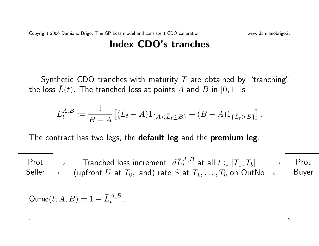### Index CDO's tranches

Synthetic CDO tranches with maturity  $T$  are obtained by "tranching" the loss  $\bar{L}(t)$ . The tranched loss at points A and B in  $[0, 1]$  is

$$
\bar{L}_{t}^{A,B}:=\frac{1}{B-A}\left[(\bar{L}_{t}-A)1_{\{A<\bar{L}_{t}\leq B\}}+(B-A)1_{\{\bar{L}_{t}>B\}}\right].
$$

The contract has two legs, the default leg and the premium leg.

Prot Seller  $\rightarrow$   $\quad$  Tranched loss increment  $\; d{{\bar L}_t^{A,B}}$  at all  $t \in [T_0,T_b] \quad \quad$   $\rightarrow$  $\leftarrow \;\;$  (upfront  $U$  at  $T_0,\;$  and) rate  $S$  at  $T_1,\ldots,T_b$  on  ${\sf OutNo}\;\; \leftarrow$ Prot Buyer

$$
\text{Outno}(t; A, B) = 1 - \bar{L}_t^{A, B}.
$$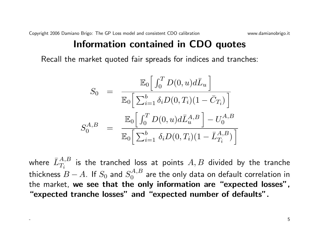#### Information contained in CDO quotes

Recall the market quoted fair spreads for indices and tranches:

$$
S_0 = \frac{\mathbb{E}_0 \left[ \int_0^T D(0, u) d\bar{L}_u \right]}{\mathbb{E}_0 \left[ \sum_{i=1}^b \delta_i D(0, T_i) (1 - \bar{C}_{T_i}) \right]}
$$

$$
S_0^{A, B} = \frac{\mathbb{E}_0 \left[ \int_0^T D(0, u) d\bar{L}_u^{A, B} \right] - U_0^{A, B}}{\mathbb{E}_0 \left[ \sum_{i=1}^b \delta_i D(0, T_i) (1 - \bar{L}_{T_i}^{A, B}) \right]}
$$

where  $\bar{L}^{A,B}_{T_i}$  is the tranched loss at points  $A,B$  divided by the tranche thickness  $\overset{\,\,{}_\circ}{B}-A.$  If  $S_{0}$  and  $S_{0}^{A,B}$  $\mathcal{C}^{A,B}_0$  are the only data on default correlation in the market, we see that the only information are "expected losses", "expected tranche losses" and "expected number of defaults".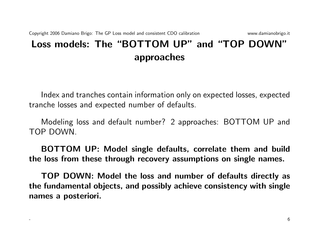# Loss models: The "BOTTOM UP" and "TOP DOWN" approaches

Index and tranches contain information only on expected losses, expected tranche losses and expected number of defaults.

Modeling loss and default number? 2 approaches: BOTTOM UP and TOP DOWN.

BOTTOM UP: Model single defaults, correlate them and build the loss from these through recovery assumptions on single names.

TOP DOWN: Model the loss and number of defaults directly as the fundamental objects, and possibly achieve consistency with single names a posteriori.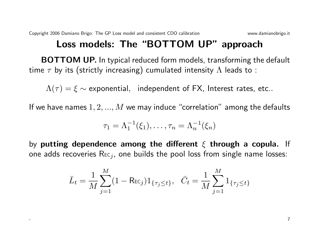### Loss models: The "BOTTOM UP" approach

BOTTOM UP. In typical reduced form models, transforming the default time  $\tau$  by its (strictly increasing) cumulated intensity  $\Lambda$  leads to :

 $\Lambda(\tau) = \xi \sim$  exponential, independent of FX, Interest rates, etc..

If we have names  $1, 2, ..., M$  we may induce "correlation" among the defaults

$$
\tau_1=\Lambda_1^{-1}(\xi_1),\ldots,\tau_n=\Lambda_n^{-1}(\xi_n)
$$

by putting dependence among the different  $\xi$  through a copula. If one adds recoveries  $\text{Rec}_{j}$ , one builds the pool loss from single name losses:

$$
\bar{L}_t = \frac{1}{M} \sum_{j=1}^{M} (1 - \text{Rec}_j) 1_{\{\tau_j \le t\}}, \quad \bar{C}_t = \frac{1}{M} \sum_{j=1}^{M} 1_{\{\tau_j \le t\}}
$$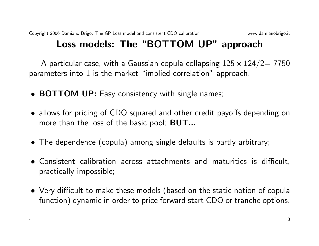## Loss models: The "BOTTOM UP" approach

A particular case, with a Gaussian copula collapsing  $125 \times 124/2 = 7750$ parameters into 1 is the market "implied correlation" approach.

- **BOTTOM UP:** Easy consistency with single names;
- allows for pricing of CDO squared and other credit payoffs depending on more than the loss of the basic pool; **BUT...**
- The dependence (copula) among single defaults is partly arbitrary;
- Consistent calibration across attachments and maturities is difficult, practically impossible;
- Very difficult to make these models (based on the static notion of copula function) dynamic in order to price forward start CDO or tranche options.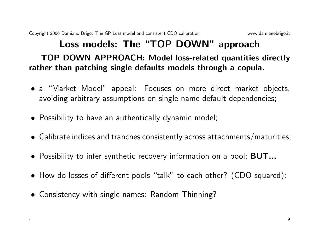# Loss models: The "TOP DOWN" approach TOP DOWN APPROACH: Model loss-related quantities directly rather than patching single defaults models through a copula.

- a "Market Model" appeal: Focuses on more direct market objects, avoiding arbitrary assumptions on single name default dependencies;
- Possibility to have an authentically dynamic model;
- Calibrate indices and tranches consistently across attachments/maturities;
- Possibility to infer synthetic recovery information on a pool; **BUT...**
- How do losses of different pools "talk" to each other? (CDO squared);
- Consistency with single names: Random Thinning?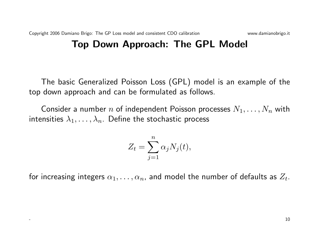# Top Down Approach: The GPL Model

The basic Generalized Poisson Loss (GPL) model is an example of the top down approach and can be formulated as follows.

Consider a number n of independent Poisson processes  $N_1, \ldots, N_n$  with intensities  $\lambda_1, \ldots, \lambda_n$ . Define the stochastic process

$$
Z_t = \sum_{j=1}^n \alpha_j N_j(t),
$$

for increasing integers  $\alpha_1, \ldots, \alpha_n$ , and model the number of defaults as  $Z_t$ .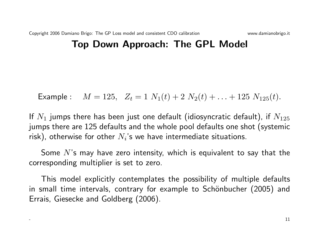#### Top Down Approach: The GPL Model

Example: 
$$
M = 125
$$
,  $Z_t = 1 N_1(t) + 2 N_2(t) + ... + 125 N_{125}(t)$ .

If  $N_1$  jumps there has been just one default (idiosyncratic default), if  $N_{125}$ jumps there are 125 defaults and the whole pool defaults one shot (systemic risk), otherwise for other  $N_i$ 's we have intermediate situations.

Some  $N$ 's may have zero intensity, which is equivalent to say that the corresponding multiplier is set to zero.

This model explicitly contemplates the possibility of multiple defaults in small time intervals, contrary for example to Schönbucher (2005) and Errais, Giesecke and Goldberg (2006).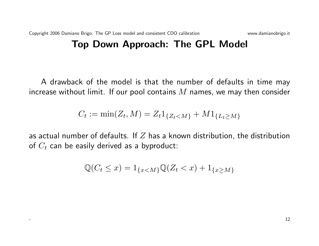A drawback of the model is that the number of defaults in time may increase without limit. If our pool contains  $M$  names, we may then consider

$$
C_t := \min(Z_t, M) = Z_t 1_{\{Z_t < M\}} + M 1_{\{L_t \ge M\}}
$$

as actual number of defaults. If  $Z$  has a known distribution, the distribution of  $C_t$  can be easily derived as a byproduct:

$$
\mathbb{Q}(C_t \le x) = 1_{\{x < M\}} \mathbb{Q}(Z_t < x) + 1_{\{x \ge M\}}
$$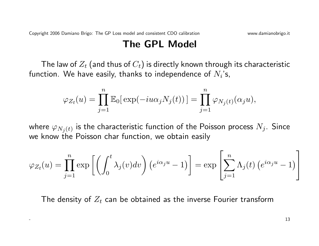#### The GPL Model

The law of  $Z_t$  (and thus of  $C_t$ ) is directly known through its characteristic function. We have easily, thanks to independence of  $N_i$ 's,

$$
\varphi_{Z_t}(u) = \prod_{j=1}^n \mathbb{E}_0[\exp(-iu\alpha_j N_j(t))] = \prod_{j=1}^n \varphi_{N_j(t)}(\alpha_j u),
$$

where  $\varphi_{N_j(t)}$  is the characteristic function of the Poisson process  $N_j.$  Since we know the Poisson char function, we obtain easily

$$
\varphi_{Z_t}(u) = \prod_{j=1}^n \exp\left[\left(\int_0^t \lambda_j(v)dv\right)\left(e^{i\alpha_j u} - 1\right)\right] = \exp\left[\sum_{j=1}^n \Lambda_j(t)\left(e^{i\alpha_j u} - 1\right)\right]
$$

The density of  $Z_t$  can be obtained as the inverse Fourier transform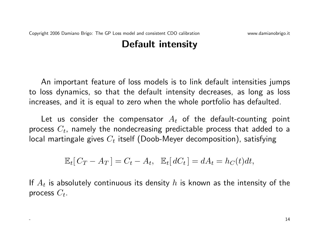### Default intensity

An important feature of loss models is to link default intensities jumps to loss dynamics, so that the default intensity decreases, as long as loss increases, and it is equal to zero when the whole portfolio has defaulted.

Let us consider the compensator  $A_t$  of the default-counting point process  $C_t$ , namely the nondecreasing predictable process that added to a local martingale gives  $C_t$  itself (Doob-Meyer decomposition), satisfying

$$
\mathbb{E}_t[C_T - A_T] = C_t - A_t, \quad \mathbb{E}_t[dC_t] = dA_t = h_C(t)dt,
$$

If  $A_t$  is absolutely continuous its density  $h$  is known as the intensity of the process  $C_t$ .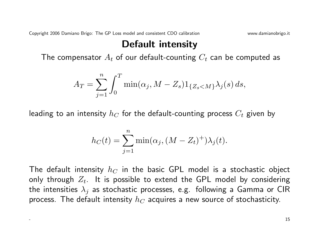Copyright 2006 Damiano Brigo: The GP Loss model and consistent CDO calibration www.damianobrigo.it

### Default intensity

The compensator  $A_t$  of our default-counting  $C_t$  can be computed as

$$
A_T = \sum_{j=1}^n \int_0^T \min(\alpha_j, M - Z_s) 1_{\{Z_s < M\}} \lambda_j(s) \, ds,
$$

leading to an intensity  $h_C$  for the default-counting process  $C_t$  given by

$$
h_C(t) = \sum_{j=1}^{n} \min(\alpha_j, (M - Z_t)^+) \lambda_j(t).
$$

The default intensity  $h_C$  in the basic GPL model is a stochastic object only through  $Z_t$ . It is possible to extend the GPL model by considering the intensities  $\lambda_i$  as stochastic processes, e.g. following a Gamma or CIR process. The default intensity  $h_C$  acquires a new source of stochasticity.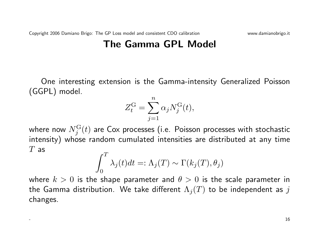### The Gamma GPL Model

One interesting extension is the Gamma-intensity Generalized Poisson (GGPL) model.

$$
Z_t^{\rm G} = \sum_{j=1}^n \alpha_j N_j^{\rm G}(t),
$$

where now  $N^{\rm G}_j(t)$  are Cox processes (i.e. Poisson processes with stochastic intensity) whose random cumulated intensities are distributed at any time  $T$  as  $\tau$ 

$$
\int_0^1 \lambda_j(t)dt =: \Lambda_j(T) \sim \Gamma(k_j(T), \theta_j)
$$

where  $k > 0$  is the shape parameter and  $\theta > 0$  is the scale parameter in the Gamma distribution. We take different  $\Lambda_j(T)$  to be independent as j changes.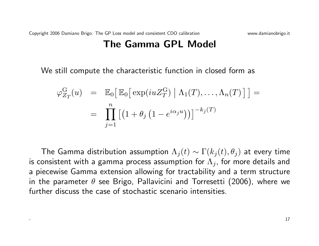#### The Gamma GPL Model

We still compute the characteristic function in closed form as

$$
\varphi_{Z_T}^{\mathcal{G}}(u) = \mathbb{E}_0\big[\mathbb{E}_0\big[\exp(iuZ_T^{\mathcal{G}}) \big| \Lambda_1(T), \dots, \Lambda_n(T)\big]\big] =
$$
  
= 
$$
\prod_{j=1}^n \big[\big(1 + \theta_j \left(1 - e^{i\alpha_j u}\right)\big)\big]^{-k_j(T)}
$$

The Gamma distribution assumption  $\Lambda_i(t) \sim \Gamma(k_i(t), \theta_i)$  at every time is consistent with a gamma process assumption for  $\Lambda_i$ , for more details and a piecewise Gamma extension allowing for tractability and a term structure in the parameter  $\theta$  see Brigo, Pallavicini and Torresetti (2006), where we further discuss the case of stochastic scenario intensities.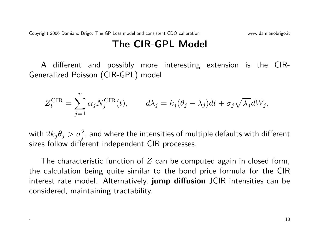### The CIR-GPL Model

A different and possibly more interesting extension is the CIR-Generalized Poisson (CIR-GPL) model

$$
Z_t^{\text{CIR}} = \sum_{j=1}^n \alpha_j N_j^{\text{CIR}}(t), \qquad d\lambda_j = k_j (\theta_j - \lambda_j) dt + \sigma_j \sqrt{\lambda_j} dW_j,
$$

with  $2k_j\theta_j>\sigma_j^2$ , and where the intensities of multiple defaults with different sizes follow different independent CIR processes.

The characteristic function of  $Z$  can be computed again in closed form, the calculation being quite similar to the bond price formula for the CIR interest rate model. Alternatively, jump diffusion JCIR intensities can be considered, maintaining tractability.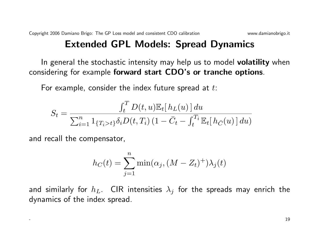# Extended GPL Models: Spread Dynamics

In general the stochastic intensity may help us to model volatility when considering for example forward start CDO's or tranche options.

For example, consider the index future spread at  $t$ :

$$
S_t = \frac{\int_t^T D(t, u) \mathbb{E}_t[h_L(u)] du}{\sum_{i=1}^n 1_{\{T_i > t\}} \delta_i D(t, T_i) (1 - \bar{C}_t - \int_t^{T_i} \mathbb{E}_t[h_{\bar{C}}(u)] du)}
$$

and recall the compensator,

$$
h_C(t) = \sum_{j=1}^{n} \min(\alpha_j, (M - Z_t)^+) \lambda_j(t)
$$

and similarly for  $h_L$ . CIR intensities  $\lambda_j$  for the spreads may enrich the dynamics of the index spread.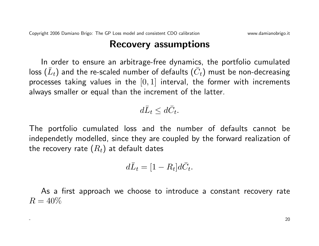#### Recovery assumptions

In order to ensure an arbitrage-free dynamics, the portfolio cumulated loss  $(\bar{L}_t)$  and the re-scaled number of defaults  $(\bar{C}_t)$  must be non-decreasing processes taking values in the  $[0, 1]$  interval, the former with increments always smaller or equal than the increment of the latter.

$$
d\bar{L}_t \leq d\bar{C}_t.
$$

The portfolio cumulated loss and the number of defaults cannot be independetly modelled, since they are coupled by the forward realization of the recovery rate  $(R_t)$  at default dates

$$
d\bar{L}_t = [1 - R_t]d\bar{C}_t.
$$

As a first approach we choose to introduce a constant recovery rate  $R = 40\%$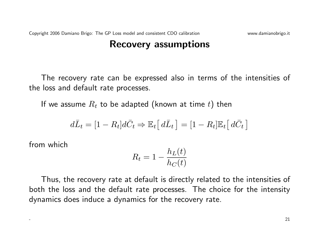#### Recovery assumptions

The recovery rate can be expressed also in terms of the intensities of the loss and default rate processes.

If we assume  $R_t$  to be adapted (known at time t) then

$$
d\overline{L}_t = [1 - R_t]d\overline{C}_t \Rightarrow \mathbb{E}_t[d\overline{L}_t] = [1 - R_t]\mathbb{E}_t[d\overline{C}_t]
$$

from which

$$
R_t = 1 - \frac{h_L(t)}{h_C(t)}
$$

Thus, the recovery rate at default is directly related to the intensities of both the loss and the default rate processes. The choice for the intensity dynamics does induce a dynamics for the recovery rate.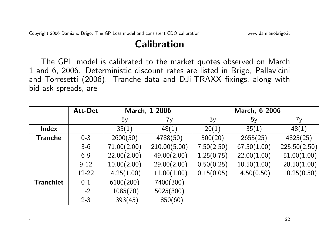### Calibration

The GPL model is calibrated to the market quotes observed on March 1 and 6, 2006. Deterministic discount rates are listed in Brigo, Pallavicini and Torresetti (2006). Tranche data and DJi-TRAXX fixings, along with bid-ask spreads, are

|                  | <b>Att-Det</b> | March, 1 2006 |              | March, 6 2006 |             |              |
|------------------|----------------|---------------|--------------|---------------|-------------|--------------|
|                  |                | 5y            | 7y           | 3y            | 5y          | 7y           |
| <b>Index</b>     |                | 35(1)         | 48(1)        | 20(1)         | 35(1)       | 48(1)        |
| <b>Tranche</b>   | $0 - 3$        | 2600(50)      | 4788(50)     | 500(20)       | 2655(25)    | 4825(25)     |
|                  | $3-6$          | 71.00(2.00)   | 210.00(5.00) | 7.50(2.50)    | 67.50(1.00) | 225.50(2.50) |
|                  | $6 - 9$        | 22.00(2.00)   | 49.00(2.00)  | 1.25(0.75)    | 22.00(1.00) | 51.00(1.00)  |
|                  | $9 - 12$       | 10.00(2.00)   | 29.00(2.00)  | 0.50(0.25)    | 10.50(1.00) | 28.50(1.00)  |
|                  | 12-22          | 4.25(1.00)    | 11.00(1.00)  | 0.15(0.05)    | 4.50(0.50)  | 10.25(0.50)  |
| <b>Tranchlet</b> | $0 - 1$        | 6100(200)     | 7400(300)    |               |             |              |
|                  | $1 - 2$        | 1085(70)      | 5025(300)    |               |             |              |
|                  | $2 - 3$        | 393(45)       | 850(60)      |               |             |              |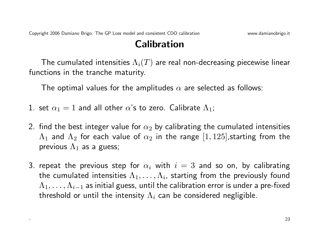### Calibration

The cumulated intensities  $\Lambda_i(T)$  are real non-decreasing piecewise linear functions in the tranche maturity.

The optimal values for the amplitudes  $\alpha$  are selected as follows:

- 1. set  $\alpha_1 = 1$  and all other  $\alpha$ 's to zero. Calibrate  $\Lambda_1$ ;
- 2. find the best integer value for  $\alpha_2$  by calibrating the cumulated intensities  $\Lambda_1$  and  $\Lambda_2$  for each value of  $\alpha_2$  in the range  $[1, 125]$ , starting from the previous  $\Lambda_1$  as a guess;
- 3. repeat the previous step for  $\alpha_i$  with  $i=3$  and so on, by calibrating the cumulated intensities  $\Lambda_1,\ldots,\Lambda_i$ , starting from the previously found  $\Lambda_1, \ldots, \Lambda_{i-1}$  as initial guess, until the calibration error is under a pre-fixed threshold or until the intensity  $\Lambda_i$  can be considered negligible.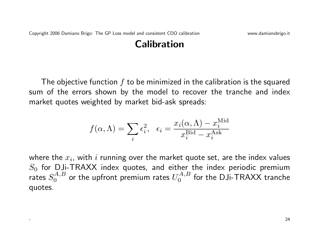### Calibration

The objective function  $f$  to be minimized in the calibration is the squared sum of the errors shown by the model to recover the tranche and index market quotes weighted by market bid-ask spreads:

$$
f(\alpha, \Lambda) = \sum_{i} \epsilon_i^2, \quad \epsilon_i = \frac{x_i(\alpha, \Lambda) - x_i^{\text{Mid}}}{x_i^{\text{Bid}} - x_i^{\text{Ask}}}
$$

where the  $x_i$ , with  $i$  running over the market quote set, are the index values  $S_0$  for DJi-TRAXX index quotes, and either the index periodic premium rates  $S_0^{A,B}$  $U_0^{A,B}$  or the upfront premium rates  $U_0^{A,B}$  $\mathcal{O}^{(A,B)}_0$  for the DJi-TRAXX tranche quotes.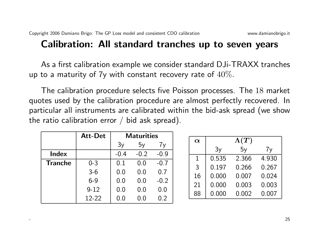As a first calibration example we consider standard DJi-TRAXX tranches up to a maturity of 7y with constant recovery rate of  $40\%$ .

The calibration procedure selects five Poisson processes. The 18 market quotes used by the calibration procedure are almost perfectly recovered. In particular all instruments are calibrated within the bid-ask spread (we show the ratio calibration error  $/$  bid ask spread).

|                | <b>Att-Det</b> | <b>Maturities</b> |        |        |
|----------------|----------------|-------------------|--------|--------|
|                |                | 3y                | 5y     | 7v     |
| <b>Index</b>   |                | $-0.4$            | $-0.2$ | $-0.9$ |
| <b>Tranche</b> | $0 - 3$        | 0.1               | 0.0    | $-0.7$ |
|                | $3-6$          | 0.0               | 0.0    | 0.7    |
|                | $6 - 9$        | 0.0               | 0.0    | $-0.2$ |
|                | $9 - 12$       | 0.0               | 0.0    | 0.0    |
|                | $12 - 22$      | $0.0\,$           | 0.0    | 0.2    |

| $\boldsymbol{\alpha}$ |       | $\Lambda(T)$ |       |
|-----------------------|-------|--------------|-------|
|                       | 3y    | 5y           | 7y    |
| 1                     | 0.535 | 2.366        | 4.930 |
| 3                     | 0.197 | 0.266        | 0.267 |
| 16                    | 0.000 | 0.007        | 0.024 |
| 21                    | 0.000 | 0.003        | 0.003 |
| 88                    | 0.000 | 0.002        | 0.007 |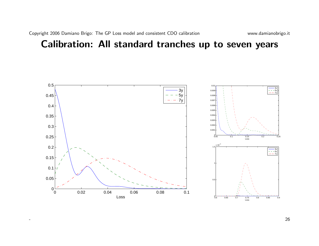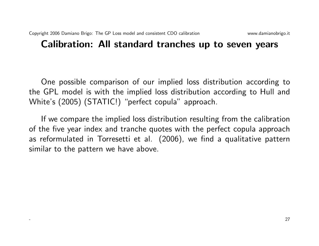One possible comparison of our implied loss distribution according to the GPL model is with the implied loss distribution according to Hull and White's (2005) (STATIC!) "perfect copula" approach.

If we compare the implied loss distribution resulting from the calibration of the five year index and tranche quotes with the perfect copula approach as reformulated in Torresetti et al. (2006), we find a qualitative pattern similar to the pattern we have above.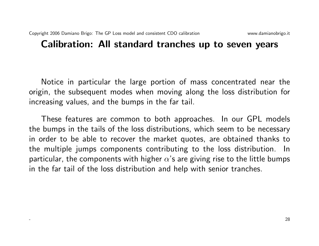Notice in particular the large portion of mass concentrated near the origin, the subsequent modes when moving along the loss distribution for increasing values, and the bumps in the far tail.

These features are common to both approaches. In our GPL models the bumps in the tails of the loss distributions, which seem to be necessary in order to be able to recover the market quotes, are obtained thanks to the multiple jumps components contributing to the loss distribution. In particular, the components with higher  $\alpha$ 's are giving rise to the little bumps in the far tail of the loss distribution and help with senior tranches.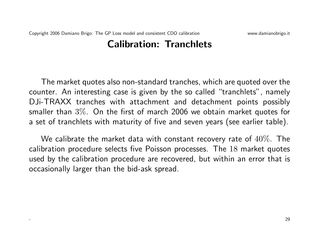#### Calibration: Tranchlets

The market quotes also non-standard tranches, which are quoted over the counter. An interesting case is given by the so called "tranchlets", namely DJi-TRAXX tranches with attachment and detachment points possibly smaller than 3%. On the first of march 2006 we obtain market quotes for a set of tranchlets with maturity of five and seven years (see earlier table).

We calibrate the market data with constant recovery rate of  $40\%$ . The calibration procedure selects five Poisson processes. The 18 market quotes used by the calibration procedure are recovered, but within an error that is occasionally larger than the bid-ask spread.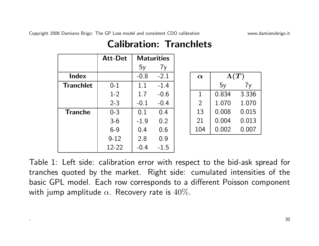Copyright 2006 Damiano Brigo: The GP Loss model and consistent CDO calibration www.damianobrigo.it

 $\Lambda(T)$ 

5y 7y

0.834 3.336

2 1.070 1.070

0.008 0.015

0.004 0.013

0.002 0.007

|                  | <b>Att-Det</b> | <b>Maturities</b> |        |                |
|------------------|----------------|-------------------|--------|----------------|
|                  |                | 5y                | 7y     |                |
| <b>Index</b>     |                | $-0.8$            | $-2.1$ | $\alpha$       |
| <b>Tranchlet</b> | $0 - 1$        | 1.1               | $-1.4$ |                |
|                  | $1 - 2$        | 1.7               | $-0.6$ | 1              |
|                  | $2 - 3$        | $-0.1$            | $-0.4$ | $\overline{2}$ |
| <b>Tranche</b>   | $0 - 3$        | 0.1               | 0.4    | 13             |
|                  | $3-6$          | $-1.9$            | 0.2    | 21             |
|                  | $6 - 9$        | 0.4               | 0.6    | 104            |
|                  | $9 - 12$       | 2.8               | 0.9    |                |
|                  | 12-22          | $-0.4$            | $-1.5$ |                |

# Calibration: Tranchlets

Table 1: Left side: calibration error with respect to the bid-ask spread for tranches quoted by the market. Right side: cumulated intensities of the basic GPL model. Each row corresponds to a different Poisson component with jump amplitude  $\alpha$ . Recovery rate is  $40\%$ .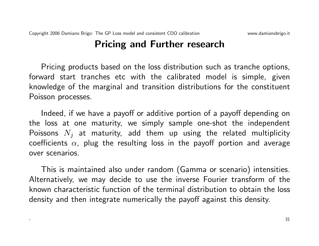### Pricing and Further research

Pricing products based on the loss distribution such as tranche options, forward start tranches etc with the calibrated model is simple, given knowledge of the marginal and transition distributions for the constituent Poisson processes.

Indeed, if we have a payoff or additive portion of a payoff depending on the loss at one maturity, we simply sample one-shot the independent Poissons  $N_i$  at maturity, add them up using the related multiplicity coefficients  $\alpha$ , plug the resulting loss in the payoff portion and average over scenarios.

This is maintained also under random (Gamma or scenario) intensities. Alternatively, we may decide to use the inverse Fourier transform of the known characteristic function of the terminal distribution to obtain the loss density and then integrate numerically the payoff against this density.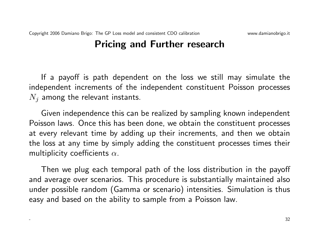# Pricing and Further research

If a payoff is path dependent on the loss we still may simulate the independent increments of the independent constituent Poisson processes  $N_i$  among the relevant instants.

Given independence this can be realized by sampling known independent Poisson laws. Once this has been done, we obtain the constituent processes at every relevant time by adding up their increments, and then we obtain the loss at any time by simply adding the constituent processes times their multiplicity coefficients  $\alpha$ .

Then we plug each temporal path of the loss distribution in the payoff and average over scenarios. This procedure is substantially maintained also under possible random (Gamma or scenario) intensities. Simulation is thus easy and based on the ability to sample from a Poisson law.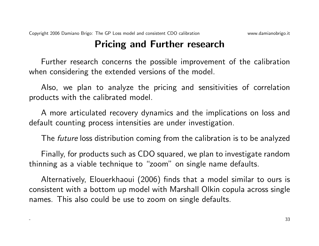## Pricing and Further research

Further research concerns the possible improvement of the calibration when considering the extended versions of the model.

Also, we plan to analyze the pricing and sensitivities of correlation products with the calibrated model.

A more articulated recovery dynamics and the implications on loss and default counting process intensities are under investigation.

The future loss distribution coming from the calibration is to be analyzed

Finally, for products such as CDO squared, we plan to investigate random thinning as a viable technique to "zoom" on single name defaults.

Alternatively, Elouerkhaoui (2006) finds that a model similar to ours is consistent with a bottom up model with Marshall Olkin copula across single names. This also could be use to zoom on single defaults.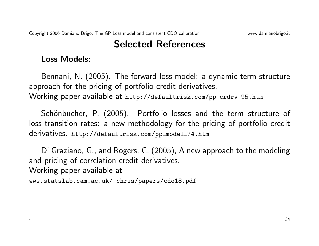#### Loss Models:

Bennani, N. (2005). The forward loss model: a dynamic term structure approach for the pricing of portfolio credit derivatives. Working paper available at http://defaultrisk.com/pp\_crdrv\_95.htm

Schönbucher, P. (2005). Portfolio losses and the term structure of loss transition rates: a new methodology for the pricing of portfolio credit derivatives. http://defaultrisk.com/pp\_model\_74.htm

Di Graziano, G., and Rogers, C. (2005), A new approach to the modeling and pricing of correlation credit derivatives. Working paper available at

www.statslab.cam.ac.uk/ chris/papers/cdo18.pdf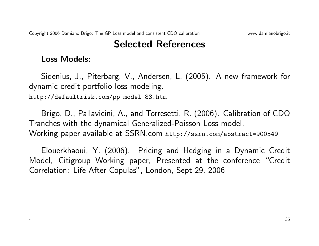#### Loss Models:

Sidenius, J., Piterbarg, V., Andersen, L. (2005). A new framework for dynamic credit portfolio loss modeling. http://defaultrisk.com/pp\_model\_83.htm

Brigo, D., Pallavicini, A., and Torresetti, R. (2006). Calibration of CDO Tranches with the dynamical Generalized-Poisson Loss model. Working paper available at SSRN.com http://ssrn.com/abstract=900549

Elouerkhaoui, Y. (2006). Pricing and Hedging in a Dynamic Credit Model, Citigroup Working paper, Presented at the conference "Credit Correlation: Life After Copulas", London, Sept 29, 2006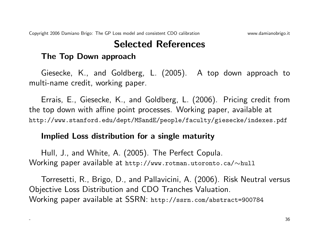#### The Top Down approach

Giesecke, K., and Goldberg, L. (2005). A top down approach to multi-name credit, working paper.

Errais, E., Giesecke, K., and Goldberg, L. (2006). Pricing credit from the top down with affine point processes. Working paper, available at http://www.stanford.edu/dept/MSandE/people/faculty/giesecke/indexes.pdf

#### Implied Loss distribution for a single maturity

Hull, J., and White, A. (2005). The Perfect Copula. Working paper available at http://www.rotman.utoronto.ca/∼hull

Torresetti, R., Brigo, D., and Pallavicini, A. (2006). Risk Neutral versus Objective Loss Distribution and CDO Tranches Valuation. Working paper available at SSRN: http://ssrn.com/abstract=900784